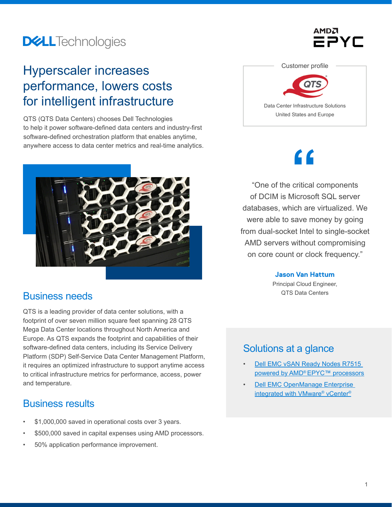## **DELL**Technologies

### Hyperscaler increases performance, lowers costs for intelligent infrastructure

QTS (QTS Data Centers) chooses Dell Technologies to help it power software-defined data centers and industry-first software-defined orchestration platform that enables anytime, anywhere access to data center metrics and real-time analytics.



### Business needs

QTS is a leading provider of data center solutions, with a footprint of over seven million square feet spanning 28 QTS Mega Data Center locations throughout North America and Europe. As QTS expands the footprint and capabilities of their software-defined data centers, including its Service Delivery Platform (SDP) Self-Service Data Center Management Platform, it requires an optimized infrastructure to support anytime access to critical infrastructure metrics for performance, access, power and temperature.

### Business results

- \$1,000,000 saved in operational costs over 3 years.
- \$500,000 saved in capital expenses using AMD processors.
- 50% application performance improvement.



Data Center Infrastructure Solutions United States and Europe

# **"**

"One of the critical components of DCIM is Microsoft SQL server databases, which are virtualized. We were able to save money by going from dual-socket Intel to single-socket AMD servers without compromising on core count or clock frequency."

### **Jason Van Hattum**

Principal Cloud Engineer, QTS Data Centers

### Solutions at a glance

- Dell EMC vSAN Ready Nodes R7515 powered by AMD<sup>®</sup> EPYC™ processors
- **Dell EMC OpenManage Enterprise** [integrated with VMware® vCenter®](https://www.delltechnologies.com/en-us/solutions/openmanage/index.htm)

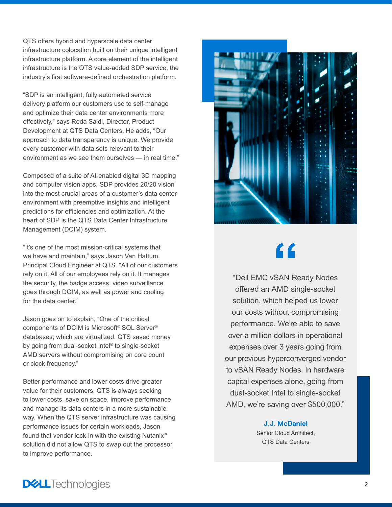QTS offers hybrid and hyperscale data center infrastructure colocation built on their unique intelligent infrastructure platform. A core element of the intelligent infrastructure is the QTS value-added SDP service, the industry's first software-defined orchestration platform.

"SDP is an intelligent, fully automated service delivery platform our customers use to self-manage and optimize their data center environments more effectively," says Reda Saidi, Director, Product Development at QTS Data Centers. He adds, "Our approach to data transparency is unique. We provide every customer with data sets relevant to their environment as we see them ourselves — in real time."

Composed of a suite of AI-enabled digital 3D mapping and computer vision apps, SDP provides 20/20 vision into the most crucial areas of a customer's data center environment with preemptive insights and intelligent predictions for efficiencies and optimization. At the heart of SDP is the QTS Data Center Infrastructure Management (DCIM) system.

"It's one of the most mission-critical systems that we have and maintain," says Jason Van Hattum, Principal Cloud Engineer at QTS. "All of our customers rely on it. All of our employees rely on it. It manages the security, the badge access, video surveillance goes through DCIM, as well as power and cooling for the data center."

Jason goes on to explain, "One of the critical components of DCIM is Microsoft® SQL Server® databases, which are virtualized. QTS saved money by going from dual-socket Intel® to single-socket AMD servers without compromising on core count or clock frequency."

Better performance and lower costs drive greater value for their customers. QTS is always seeking to lower costs, save on space, improve performance and manage its data centers in a more sustainable way. When the QTS server infrastructure was causing performance issues for certain workloads, Jason found that vendor lock-in with the existing Nutanix® solution did not allow QTS to swap out the processor to improve performance.



# **"**

"Dell EMC vSAN Ready Nodes offered an AMD single-socket solution, which helped us lower our costs without compromising performance. We're able to save over a million dollars in operational expenses over 3 years going from our previous hyperconverged vendor to vSAN Ready Nodes. In hardware capital expenses alone, going from dual-socket Intel to single-socket AMD, we're saving over \$500,000."

> **J.J. McDaniel** Senior Cloud Architect, QTS Data Centers

**DELL**Technologies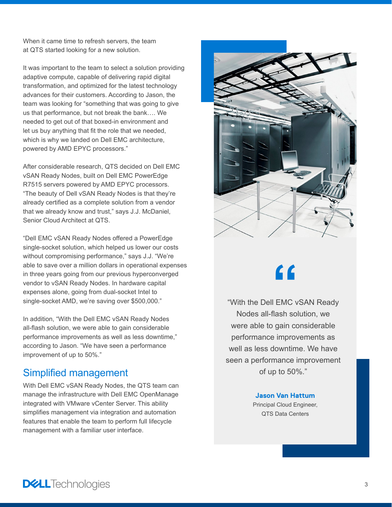When it came time to refresh servers, the team at QTS started looking for a new solution.

It was important to the team to select a solution providing adaptive compute, capable of delivering rapid digital transformation, and optimized for the latest technology advances for their customers. According to Jason, the team was looking for "something that was going to give us that performance, but not break the bank…. We needed to get out of that boxed-in environment and let us buy anything that fit the role that we needed, which is why we landed on Dell EMC architecture, powered by AMD EPYC processors."

After considerable research, QTS decided on Dell EMC vSAN Ready Nodes, built on Dell EMC PowerEdge R7515 servers powered by AMD EPYC processors. "The beauty of Dell vSAN Ready Nodes is that they're already certified as a complete solution from a vendor that we already know and trust," says J.J. McDaniel, Senior Cloud Architect at QTS.

"Dell EMC vSAN Ready Nodes offered a PowerEdge single-socket solution, which helped us lower our costs without compromising performance," says J.J. "We're able to save over a million dollars in operational expenses in three years going from our previous hyperconverged vendor to vSAN Ready Nodes. In hardware capital expenses alone, going from dual-socket Intel to single-socket AMD, we're saving over \$500,000."

In addition, "With the Dell EMC vSAN Ready Nodes all-flash solution, we were able to gain considerable performance improvements as well as less downtime," according to Jason. "We have seen a performance improvement of up to 50%."

### Simplified management

With Dell EMC vSAN Ready Nodes, the QTS team can manage the infrastructure with Dell EMC OpenManage integrated with VMware vCenter Server. This ability simplifies management via integration and automation features that enable the team to perform full lifecycle management with a familiar user interface.



# **"**

"With the Dell EMC vSAN Ready Nodes all-flash solution, we were able to gain considerable performance improvements as well as less downtime. We have seen a performance improvement of up to 50%."

### **Jason Van Hattum** Principal Cloud Engineer, QTS Data Centers